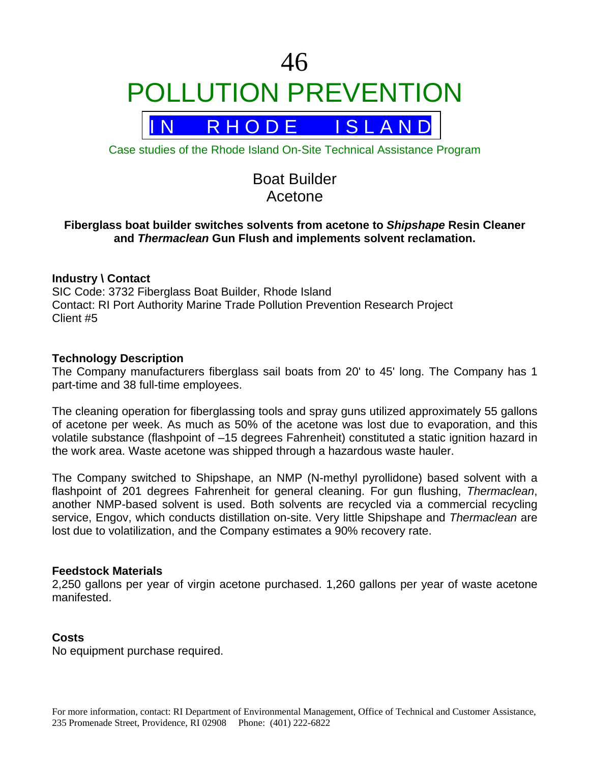# 46 POLLUTION PREVENTION



Case studies of the Rhode Island On-Site Technical Assistance Program

# Boat Builder Acetone

# **Fiberglass boat builder switches solvents from acetone to** *Shipshape* **Resin Cleaner and** *Thermaclean* **Gun Flush and implements solvent reclamation.**

# **Industry \ Contact**

SIC Code: 3732 Fiberglass Boat Builder, Rhode Island Contact: RI Port Authority Marine Trade Pollution Prevention Research Project Client #5

#### **Technology Description**

The Company manufacturers fiberglass sail boats from 20' to 45' long. The Company has 1 part-time and 38 full-time employees.

The cleaning operation for fiberglassing tools and spray guns utilized approximately 55 gallons of acetone per week. As much as 50% of the acetone was lost due to evaporation, and this volatile substance (flashpoint of –15 degrees Fahrenheit) constituted a static ignition hazard in the work area. Waste acetone was shipped through a hazardous waste hauler.

The Company switched to Shipshape, an NMP (N-methyl pyrollidone) based solvent with a flashpoint of 201 degrees Fahrenheit for general cleaning. For gun flushing, *Thermaclean*, another NMP-based solvent is used. Both solvents are recycled via a commercial recycling service, Engov, which conducts distillation on-site. Very little Shipshape and *Thermaclean* are lost due to volatilization, and the Company estimates a 90% recovery rate.

#### **Feedstock Materials**

2,250 gallons per year of virgin acetone purchased. 1,260 gallons per year of waste acetone manifested.

# **Costs**

No equipment purchase required.